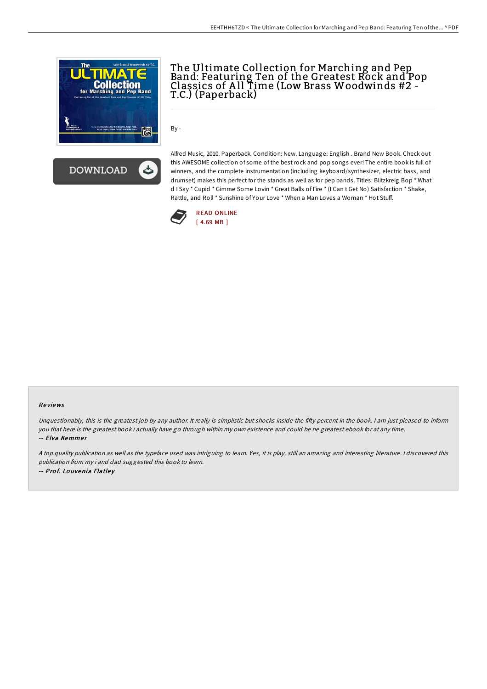



## The Ultimate Collection for Marching and Pep Band: Featuring Ten of the Greatest Rock and Pop Classics of A ll Time (Low Brass Woodwinds #2 - T.C.) (Paperback)

By -

Alfred Music, 2010. Paperback. Condition: New. Language: English . Brand New Book. Check out this AWESOME collection of some of the best rock and pop songs ever! The entire book is full of winners, and the complete instrumentation (including keyboard/synthesizer, electric bass, and drumset) makes this perfect for the stands as well as for pep bands. Titles: Blitzkreig Bop \* What d I Say \* Cupid \* Gimme Some Lovin \* Great Balls of Fire \* (I Can t Get No) Satisfaction \* Shake, Rattle, and Roll \* Sunshine of Your Love \* When a Man Loves a Woman \* Hot Stuff.



## Re views

Unquestionably, this is the greatest job by any author. It really is simplistic but shocks inside the fifty percent in the book. I am just pleased to inform you that here is the greatest book i actually have go through within my own existence and could be he greatest ebook for at any time. -- Elva Kemmer

<sup>A</sup> top quality publication as well as the typeface used was intriguing to learn. Yes, it is play, still an amazing and interesting literature. <sup>I</sup> discovered this publication from my i and dad suggested this book to learn. -- Prof. Louvenia Flatley